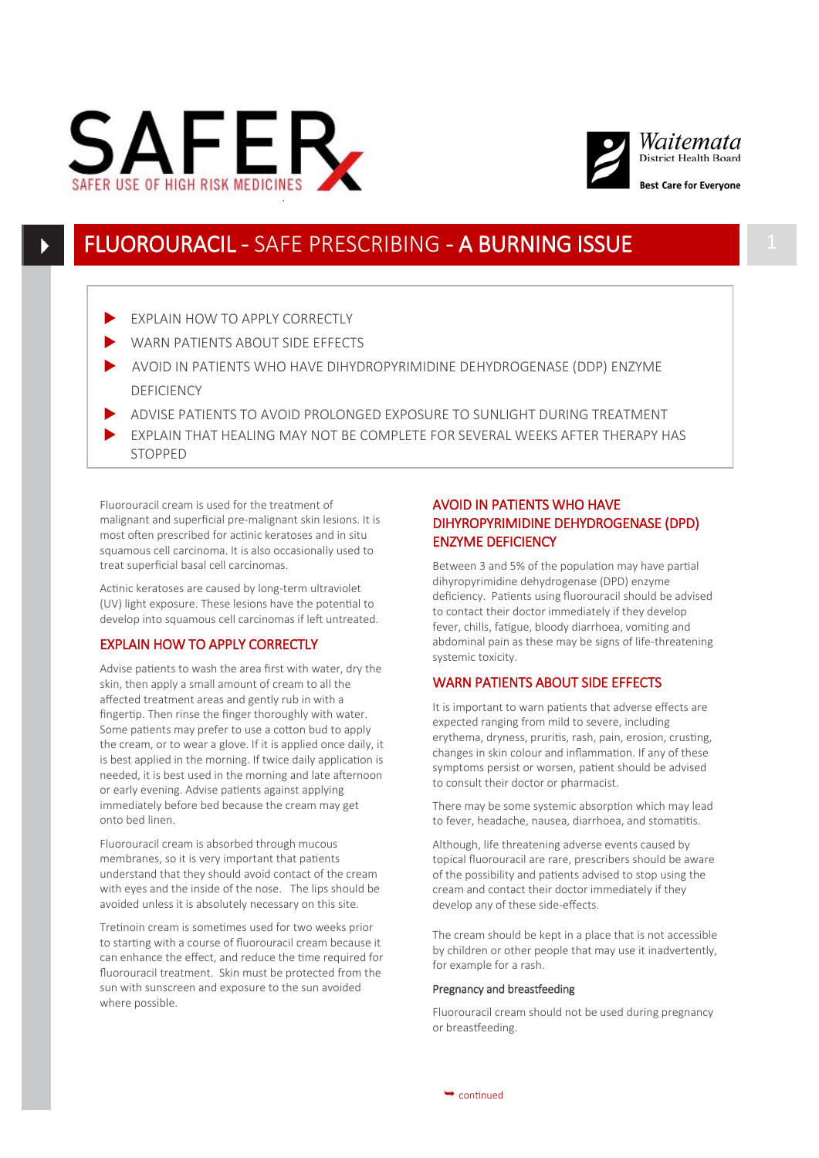



# FLUOROURACIL - SAFE PRESCRIBING - A BURNING ISSUE

- EXPLAIN HOW TO APPLY CORRECTLY
- WARN PATIENTS ABOUT SIDE EFFECTS
- AVOID IN PATIENTS WHO HAVE DIHYDROPYRIMIDINE DEHYDROGENASE (DDP) ENZYME DEFICIENCY
- ADVISE PATIENTS TO AVOID PROLONGED EXPOSURE TO SUNLIGHT DURING TREATMENT
- EXPLAIN THAT HEALING MAY NOT BE COMPLETE FOR SEVERAL WEEKS AFTER THERAPY HAS STOPPED

Fluorouracil cream is used for the treatment of malignant and superficial pre-malignant skin lesions. It is most often prescribed for actinic keratoses and in situ squamous cell carcinoma. It is also occasionally used to treat superficial basal cell carcinomas.

Actinic keratoses are caused by long-term ultraviolet (UV) light exposure. These lesions have the potential to develop into squamous cell carcinomas if left untreated.

# EXPLAIN HOW TO APPLY CORRECTLY

Advise patients to wash the area first with water, dry the skin, then apply a small amount of cream to all the affected treatment areas and gently rub in with a fingertip. Then rinse the finger thoroughly with water. Some patients may prefer to use a cotton bud to apply the cream, or to wear a glove. If it is applied once daily, it is best applied in the morning. If twice daily application is needed, it is best used in the morning and late afternoon or early evening. Advise patients against applying immediately before bed because the cream may get onto bed linen.

Fluorouracil cream is absorbed through mucous membranes, so it is very important that patients understand that they should avoid contact of the cream with eyes and the inside of the nose. The lips should be avoided unless it is absolutely necessary on this site.

Tretinoin cream is sometimes used for two weeks prior to starting with a course of fluorouracil cream because it can enhance the effect, and reduce the time required for fluorouracil treatment. Skin must be protected from the sun with sunscreen and exposure to the sun avoided where possible.

## AVOID IN PATIENTS WHO HAVE DIHYROPYRIMIDINE DEHYDROGENASE (DPD) ENZYME DEFICIENCY

Between 3 and 5% of the population may have partial dihyropyrimidine dehydrogenase (DPD) enzyme deficiency. Patients using fluorouracil should be advised to contact their doctor immediately if they develop fever, chills, fatigue, bloody diarrhoea, vomiting and abdominal pain as these may be signs of life-threatening systemic toxicity.

## WARN PATIENTS ABOUT SIDE EFFECTS

It is important to warn patients that adverse effects are expected ranging from mild to severe, including erythema, dryness, pruritis, rash, pain, erosion, crusting, changes in skin colour and inflammation. If any of these symptoms persist or worsen, patient should be advised to consult their doctor or pharmacist.

There may be some systemic absorption which may lead to fever, headache, nausea, diarrhoea, and stomatitis.

Although, life threatening adverse events caused by topical fluorouracil are rare, prescribers should be aware of the possibility and patients advised to stop using the cream and contact their doctor immediately if they develop any of these side-effects.

The cream should be kept in a place that is not accessible by children or other people that may use it inadvertently, for example for a rash.

### Pregnancy and breastfeeding

Fluorouracil cream should not be used during pregnancy or breastfeeding.